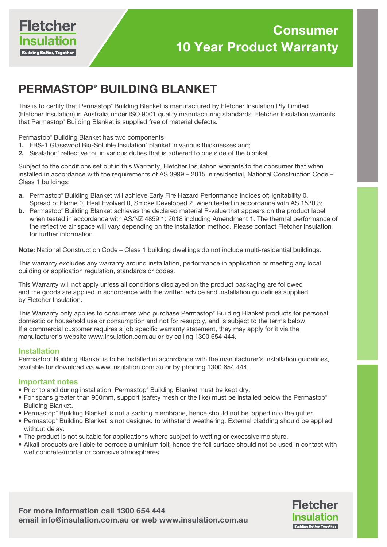

# PERMASTOP® BUILDING BLANKET

This is to certify that Permastop® Building Blanket is manufactured by Fletcher Insulation Pty Limited (Fletcher Insulation) in Australia under ISO 9001 quality manufacturing standards. Fletcher Insulation warrants that Permastop® Building Blanket is supplied free of material defects.

Permastop® Building Blanket has two components:

- 1. FBS-1 Glasswool Bio-Soluble Insulation<sup>®</sup> blanket in various thicknesses and;
- 2. Sisalation® reflective foil in various duties that is adhered to one side of the blanket.

Subject to the conditions set out in this Warranty, Fletcher Insulation warrants to the consumer that when installed in accordance with the requirements of AS 3999 – 2015 in residential, National Construction Code – Class 1 buildings:

- a. Permastop® Building Blanket will achieve Early Fire Hazard Performance Indices of; Ignitability 0, Spread of Flame 0, Heat Evolved 0, Smoke Developed 2, when tested in accordance with AS 1530.3;
- **b.** Permastop® Building Blanket achieves the declared material R-value that appears on the product label when tested in accordance with AS/NZ 4859.1: 2018 including Amendment 1. The thermal performance of the reflective air space will vary depending on the installation method. Please contact Fletcher Insulation for further information.

Note: National Construction Code - Class 1 building dwellings do not include multi-residential buildings.

This warranty excludes any warranty around installation, performance in application or meeting any local building or application regulation, standards or codes.

This Warranty will not apply unless all conditions displayed on the product packaging are followed and the goods are applied in accordance with the written advice and installation guidelines supplied by Fletcher Insulation.

This Warranty only applies to consumers who purchase Permastop® Building Blanket products for personal, domestic or household use or consumption and not for resupply, and is subject to the terms below. If a commercial customer requires a job specific warranty statement, they may apply for it via the manufacturer's website www.insulation.com.au or by calling 1300 654 444.

### Installation

Permastop® Building Blanket is to be installed in accordance with the manufacturer's installation guidelines, available for download via www.insulation.com.au or by phoning 1300 654 444.

### Important notes

- Prior to and during installation, Permastop® Building Blanket must be kept dry.
- For spans greater than 900mm, support (safety mesh or the like) must be installed below the Permastop® Building Blanket.
- Permastop® Building Blanket is not a sarking membrane, hence should not be lapped into the gutter.
- Permastop® Building Blanket is not designed to withstand weathering. External cladding should be applied without delay.
- The product is not suitable for applications where subject to wetting or excessive moisture.
- Alkali products are liable to corrode aluminium foil; hence the foil surface should not be used in contact with wet concrete/mortar or corrosive atmospheres.

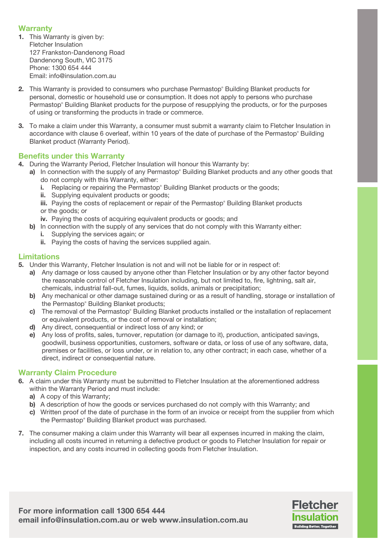# **Warranty**

- 1. This Warranty is given by: Fletcher Insulation 127 Frankston-Dandenong Road Dandenong South, VIC 3175 Phone: 1300 654 444 Email: info@insulation.com.au
- 2. This Warranty is provided to consumers who purchase Permastop® Building Blanket products for personal, domestic or household use or consumption. It does not apply to persons who purchase Permastop® Building Blanket products for the purpose of resupplying the products, or for the purposes of using or transforming the products in trade or commerce.
- 3. To make a claim under this Warranty, a consumer must submit a warranty claim to Fletcher Insulation in accordance with clause 6 overleaf, within 10 years of the date of purchase of the Permastop® Building Blanket product (Warranty Period).

# Benefits under this Warranty

- 4. During the Warranty Period, Fletcher Insulation will honour this Warranty by:
- a) In connection with the supply of any Permastop® Building Blanket products and any other goods that do not comply with this Warranty, either:
	- i. Replacing or repairing the Permastop® Building Blanket products or the goods;
	- ii. Supplying equivalent products or goods;
	- iii. Paying the costs of replacement or repair of the Permastop® Building Blanket products or the goods; or
	- iv. Paying the costs of acquiring equivalent products or goods; and
	- b) In connection with the supply of any services that do not comply with this Warranty either: i. Supplying the services again; or
		- ii. Paying the costs of having the services supplied again.

## Limitations

- 5. Under this Warranty, Fletcher Insulation is not and will not be liable for or in respect of:
	- a) Any damage or loss caused by anyone other than Fletcher Insulation or by any other factor beyond the reasonable control of Fletcher Insulation including, but not limited to, fire, lightning, salt air, chemicals, industrial fall-out, fumes, liquids, solids, animals or precipitation;
	- b) Any mechanical or other damage sustained during or as a result of handling, storage or installation of the Permastop® Building Blanket products;
	- c) The removal of the Permastop® Building Blanket products installed or the installation of replacement or equivalent products, or the cost of removal or installation;
	- d) Any direct, consequential or indirect loss of any kind; or
	- e) Any loss of profits, sales, turnover, reputation (or damage to it), production, anticipated savings, goodwill, business opportunities, customers, software or data, or loss of use of any software, data, premises or facilities, or loss under, or in relation to, any other contract; in each case, whether of a direct, indirect or consequential nature.

## Warranty Claim Procedure

- 6. A claim under this Warranty must be submitted to Fletcher Insulation at the aforementioned address within the Warranty Period and must include:
	- a) A copy of this Warranty;
	- b) A description of how the goods or services purchased do not comply with this Warranty; and
	- c) Written proof of the date of purchase in the form of an invoice or receipt from the supplier from which the Permastop® Building Blanket product was purchased.
- 7. The consumer making a claim under this Warranty will bear all expenses incurred in making the claim, including all costs incurred in returning a defective product or goods to Fletcher Insulation for repair or inspection, and any costs incurred in collecting goods from Fletcher Insulation.